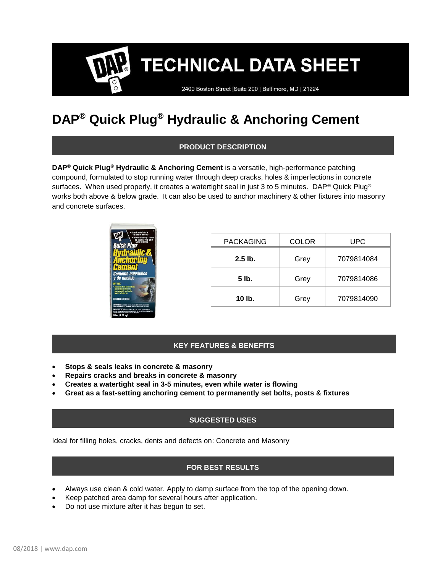**TECHNICAL DATA SHEET** 

2400 Boston Street | Suite 200 | Baltimore, MD | 21224

# **DAP® Quick Plug® Hydraulic & Anchoring Cement**

# **PRODUCT DESCRIPTION**

**DAP® Quick Plug® Hydraulic & Anchoring Cement** is a versatile, high-performance patching compound, formulated to stop running water through deep cracks, holes & imperfections in concrete surfaces. When used properly, it creates a watertight seal in just 3 to 5 minutes. DAP® Quick Plug® works both above & below grade. It can also be used to anchor machinery & other fixtures into masonry and concrete surfaces.



| <b>PACKAGING</b> | <b>COLOR</b> | UPC.       |
|------------------|--------------|------------|
| $2.5$ lb.        | Grey         | 7079814084 |
| 5 lb.            | Grey         | 7079814086 |
| 10 lb.           | Grey         | 7079814090 |

# **KEY FEATURES & BENEFITS**

- **Stops & seals leaks in concrete & masonry**
- **Repairs cracks and breaks in concrete & masonry**
- **Creates a watertight seal in 3-5 minutes, even while water is flowing**
- **Great as a fast-setting anchoring cement to permanently set bolts, posts & fixtures**

### **SUGGESTED USES**

Ideal for filling holes, cracks, dents and defects on: Concrete and Masonry

# **FOR BEST RESULTS**

- Always use clean & cold water. Apply to damp surface from the top of the opening down.
- Keep patched area damp for several hours after application.
- Do not use mixture after it has begun to set.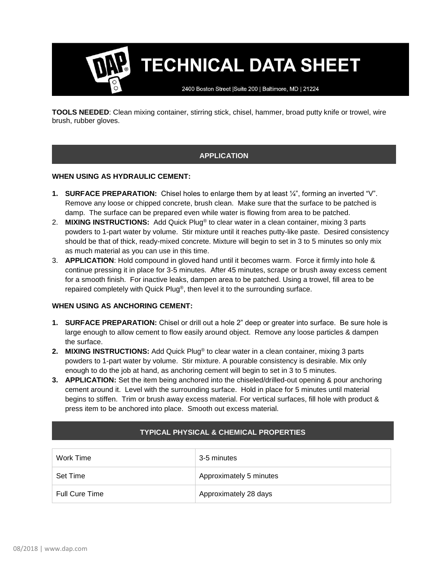**TECHNICAL DATA SHEET** 

2400 Boston Street | Suite 200 | Baltimore, MD | 21224

**TOOLS NEEDED**: Clean mixing container, stirring stick, chisel, hammer, broad putty knife or trowel, wire brush, rubber gloves.

# **APPLICATION**

#### **WHEN USING AS HYDRAULIC CEMENT:**

- **1. SURFACE PREPARATION:** Chisel holes to enlarge them by at least ¼", forming an inverted "V". Remove any loose or chipped concrete, brush clean. Make sure that the surface to be patched is damp. The surface can be prepared even while water is flowing from area to be patched.
- 2. **MIXING INSTRUCTIONS:** Add Quick Plug® to clear water in a clean container, mixing 3 parts powders to 1-part water by volume. Stir mixture until it reaches putty-like paste. Desired consistency should be that of thick, ready-mixed concrete. Mixture will begin to set in 3 to 5 minutes so only mix as much material as you can use in this time.
- 3. **APPLICATION**: Hold compound in gloved hand until it becomes warm. Force it firmly into hole & continue pressing it in place for 3-5 minutes. After 45 minutes, scrape or brush away excess cement for a smooth finish. For inactive leaks, dampen area to be patched. Using a trowel, fill area to be repaired completely with Quick Plug®, then level it to the surrounding surface.

#### **WHEN USING AS ANCHORING CEMENT:**

- **1. SURFACE PREPARATION:** Chisel or drill out a hole 2" deep or greater into surface. Be sure hole is large enough to allow cement to flow easily around object. Remove any loose particles & dampen the surface.
- **2. MIXING INSTRUCTIONS:** Add Quick Plug® to clear water in a clean container, mixing 3 parts powders to 1-part water by volume. Stir mixture. A pourable consistency is desirable. Mix only enough to do the job at hand, as anchoring cement will begin to set in 3 to 5 minutes.
- **3. APPLICATION:** Set the item being anchored into the chiseled/drilled-out opening & pour anchoring cement around it. Level with the surrounding surface. Hold in place for 5 minutes until material begins to stiffen. Trim or brush away excess material. For vertical surfaces, fill hole with product & press item to be anchored into place. Smooth out excess material.

| Work Time             | 3-5 minutes             |
|-----------------------|-------------------------|
| Set Time              | Approximately 5 minutes |
| <b>Full Cure Time</b> | Approximately 28 days   |